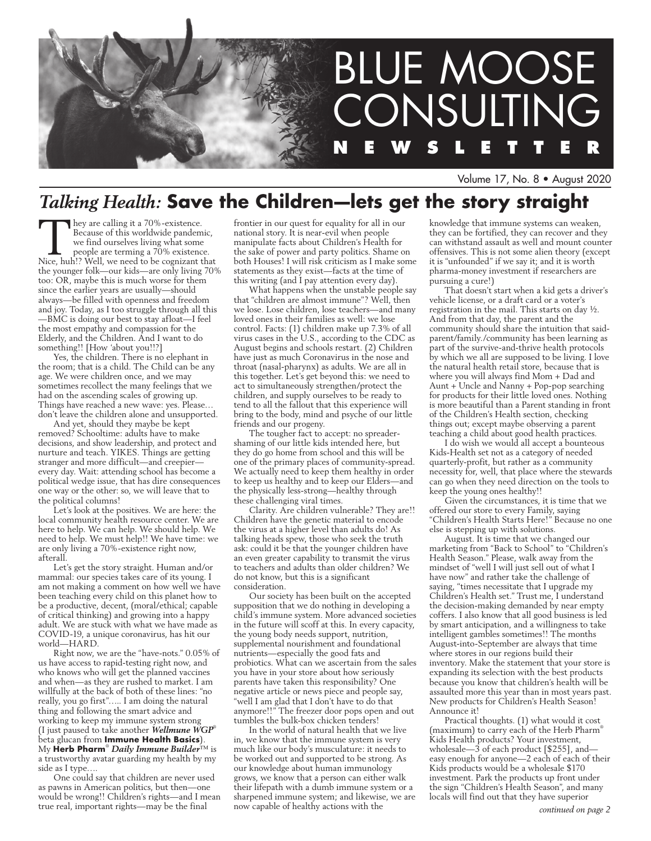

Volume 17, No. 8 • August 2020

## *Talking Health:* **Save the Children—lets get the story straight**

They are calling it a 70%-existence.<br>Because of this worldwide pandem<br>we find ourselves living what some<br>people are terming a 70% existence<br>Nice. huh!? Well. we need to be cognizant t Because of this worldwide pandemic, we find ourselves living what some people are terming a  $70\%$  existence. Nice, huh!? Well, we need to be cognizant that the younger folk—our kids—are only living 70% too: OR, maybe this is much worse for them since the earlier years are usually—should always—be filled with openness and freedom and joy. Today, as I too struggle through all this —BMC is doing our best to stay afloat—I feel the most empathy and compassion for the Elderly, and the Children. And I want to do something!! [How 'about you!!?]

Yes, the children. There is no elephant in the room; that is a child. The Child can be any age. We were children once, and we may sometimes recollect the many feelings that we had on the ascending scales of growing up. Things have reached a new wave: yes. Please… don't leave the children alone and unsupported.

And yet, should they maybe be kept removed? Schooltime: adults have to make decisions, and show leadership, and protect and nurture and teach. YIKES. Things are getting stranger and more difficult—and creepier every day. Wait: attending school has become a political wedge issue, that has dire consequences one way or the other: so, we will leave that to the political columns!

Let's look at the positives. We are here: the local community health resource center. We are here to help. We can help. We should help. We need to help. We must help!! We have time: we are only living a 70%-existence right now, afterall.

Let's get the story straight. Human and/or mammal: our species takes care of its young. I am not making a comment on how well we have been teaching every child on this planet how to be a productive, decent, (moral/ethical; capable of critical thinking) and growing into a happy adult. We are stuck with what we have made as COVID-19, a unique coronavirus, has hit our world—HARD.

Right now, we are the "have-nots." 0.05% of us have access to rapid-testing right now, and who knows who will get the planned vaccines and when—as they are rushed to market. I am willfully at the back of both of these lines: "no really, you go first"….. I am doing the natural thing and following the smart advice and working to keep my immune system strong (I just paused to take another *Wellmune WGP*® beta glucan from **Immune Health Basics**). My **Herb Pharm**® *Daily Immune Builder*™ is a trustworthy avatar guarding my health by my side as I type….

One could say that children are never used as pawns in American politics, but then—one would be wrong!! Children's rights—and I mean true real, important rights—may be the final

frontier in our quest for equality for all in our national story. It is near-evil when people manipulate facts about Children's Health for the sake of power and party politics. Shame on both Houses! I will risk criticism as I make some statements as they exist—facts at the time of this writing (and I pay attention every day).

What happens when the unstable people say that "children are almost immune"? Well, then we lose. Lose children, lose teachers—and many loved ones in their families as well: we lose control. Facts: (1) children make up 7.3% of all virus cases in the U.S., according to the CDC as August begins and schools restart. (2) Children have just as much Coronavirus in the nose and throat (nasal-pharynx) as adults. We are all in this together. Let's get beyond this: we need to act to simultaneously strengthen/protect the children, and supply ourselves to be ready to tend to all the fallout that this experience will bring to the body, mind and psyche of our little friends and our progeny.

The tougher fact to accept: no spreadershaming of our little kids intended here, but they do go home from school and this will be one of the primary places of community-spread. We actually need to keep them healthy in order to keep us healthy and to keep our Elders—and the physically less-strong—healthy through these challenging viral times.

Clarity. Are children vulnerable? They are!! Children have the genetic material to encode the virus at a higher level than adults do! As talking heads spew, those who seek the truth ask: could it be that the younger children have an even greater capability to transmit the virus to teachers and adults than older children? We do not know, but this is a significant consideration.

Our society has been built on the accepted supposition that we do nothing in developing a child's immune system. More advanced societies in the future will scoff at this. In every capacity, the young body needs support, nutrition, supplemental nourishment and foundational nutrients—especially the good fats and probiotics. What can we ascertain from the sales you have in your store about how seriously parents have taken this responsibility? One negative article or news piece and people say, "well I am glad that I don't have to do that anymore!!" The freezer door pops open and out tumbles the bulk-box chicken tenders!

In the world of natural health that we live in, we know that the immune system is very much like our body's musculature: it needs to be worked out and supported to be strong. As our knowledge about human immunology grows, we know that a person can either walk their lifepath with a dumb immune system or a sharpened immune system; and likewise, we are now capable of healthy actions with the

knowledge that immune systems can weaken, they can be fortified, they can recover and they can withstand assault as well and mount counter offensives. This is not some alien theory (except it is "unfounded" if we say it; and it is worth pharma-money investment if researchers are pursuing a cure!)

That doesn't start when a kid gets a driver's vehicle license, or a draft card or a voter's registration in the mail. This starts on day 1/2. And from that day, the parent and the community should share the intuition that saidparent/family./community has been learning as part of the survive-and-thrive health protocols by which we all are supposed to be living. I love the natural health retail store, because that is where you will always find Mom + Dad and Aunt + Uncle and Nanny + Pop-pop searching for products for their little loved ones. Nothing is more beautiful than a Parent standing in front of the Children's Health section, checking things out; except maybe observing a parent teaching a child about good health practices.

I do wish we would all accept a bounteous Kids-Health set not as a category of needed quarterly-profit, but rather as a community necessity for, well, that place where the stewards can go when they need direction on the tools to keep the young ones healthy!!

Given the circumstances, it is time that we offered our store to every Family, saying "Children's Health Starts Here!" Because no one else is stepping up with solutions.

August. It is time that we changed our marketing from "Back to School" to "Children's Health Season." Please, walk away from the mindset of "well I will just sell out of what I have now" and rather take the challenge of saying, "times necessitate that I upgrade my Children's Health set." Trust me, I understand the decision-making demanded by near empty coffers. I also know that all good business is led by smart anticipation, and a willingness to take intelligent gambles sometimes!! The months August-into-September are always that time where stores in our regions build their inventory. Make the statement that your store is expanding its selection with the best products because you know that children's health will be assaulted more this year than in most years past. New products for Children's Health Season! Announce it!

Practical thoughts. (1) what would it cost (maximum) to carry each of the Herb Pharm® Kids Health products? Your investment, wholesale—3 of each product [\$255], and easy enough for anyone—2 each of each of their Kids products would be a wholesale \$170 investment. Park the products up front under the sign "Children's Health Season", and many locals will find out that they have superior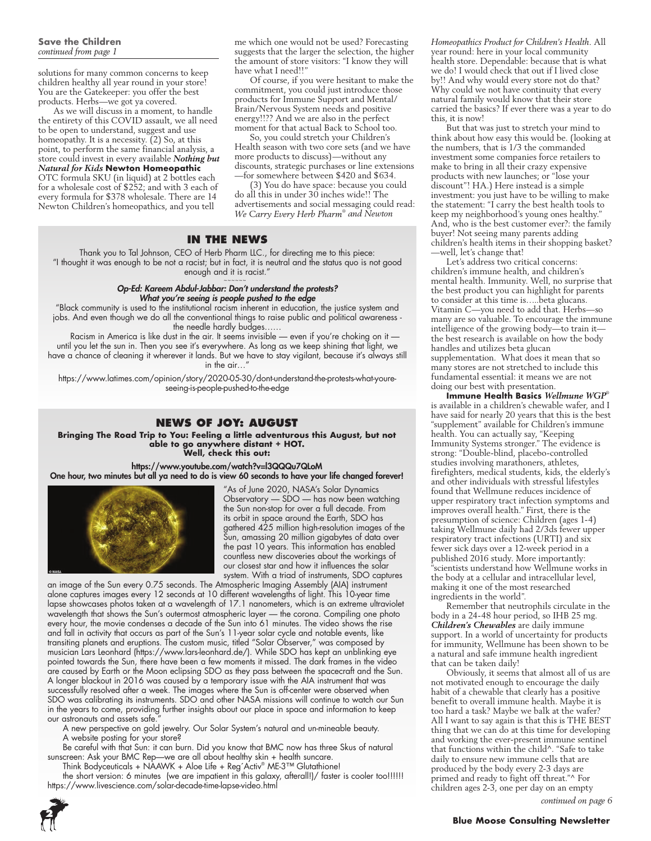solutions for many common concerns to keep children healthy all year round in your store! You are the Gatekeeper: you offer the best products. Herbs—we got ya covered.

As we will discuss in a moment, to handle the entirety of this COVID assault, we all need to be open to understand, suggest and use homeopathy. It is a necessity. (2) So, at this point, to perform the same financial analysis, a store could invest in every available *Nothing but Natural for Kids* **Newton Homeopathic** OTC formula SKU (in liquid) at 2 bottles each for a wholesale cost of \$252; and with 3 each of every formula for \$378 wholesale. There are 14 Newton Children's homeopathics, and you tell

me which one would not be used? Forecasting suggests that the larger the selection, the higher the amount of store visitors: "I know they will have what I need!!"

Of course, if you were hesitant to make the commitment, you could just introduce those products for Immune Support and Mental/ Brain/Nervous System needs and positive energy!!?? And we are also in the perfect moment for that actual Back to School too.

So, you could stretch your Children's Health season with two core sets (and we have more products to discuss)—without any discounts, strategic purchases or line extensions —for somewhere between \$420 and \$634.

(3) You do have space: because you could do all this in under 30 inches wide!! The advertisements and social messaging could read: *We Carry Every Herb Pharm® and Newton* 

#### **IN THE NEWS**

Thank you to Tal Johnson, CEO of Herb Pharm LLC., for directing me to this piece: "I thought it was enough to be not a racist; but in fact, it is neutral and the status quo is not good enough and it is racist."

#### ~~~~~~ *Op-Ed: Kareem Abdul-Jabbar: Don't understand the protests? What you're seeing is people pushed to the edge*

"Black community is used to the institutional racism inherent in education, the justice system and jobs. And even though we do all the conventional things to raise public and political awareness the needle hardly budges……

Racism in America is like dust in the air. It seems invisible — even if you're choking on it until you let the sun in. Then you see it's everywhere. As long as we keep shining that light, we have a chance of cleaning it wherever it lands. But we have to stay vigilant, because it's always still in the air...'

https://www.latimes.com/opinion/story/2020-05-30/dont-understand-the-protests-what-youreseeing-is-people-pushed-to-the-edge

#### **NEWS OF JOY: AUGUST**

**Bringing The Road Trip to You: Feeling a little adventurous this August, but not able to go anywhere distant + HOT. Well, check this out:**

https://www.youtube.com/watch?v=l3QQQu7QLoM

One hour, two minutes but all ya need to do is view 60 seconds to have your life changed forever!



"As of June 2020, NASA's Solar Dynamics Observatory — SDO — has now been watching the Sun non-stop for over a full decade. From its orbit in space around the Earth, SDO has gathered 425 million high-resolution images of the Sun, amassing 20 million gigabytes of data over the past 10 years. This information has enabled countless new discoveries about the workings of our closest star and how it influences the solar system. With a triad of instruments, SDO captures

an image of the Sun every 0.75 seconds. The Atmospheric Imaging Assembly (AIA) instrument alone captures images every 12 seconds at 10 different wavelengths of light. This 10-year time lapse showcases photos taken at a wavelength of 17.1 nanometers, which is an extreme ultraviolet wavelength that shows the Sun's outermost atmospheric layer — the corona. Compiling one photo every hour, the movie condenses a decade of the Sun into 61 minutes. The video shows the rise and fall in activity that occurs as part of the Sun's 11-year solar cycle and notable events, like transiting planets and eruptions. The custom music, titled "Solar Observer," was composed by musician Lars Leonhard (https://www.lars-leonhard.de/). While SDO has kept an unblinking eye pointed towards the Sun, there have been a few moments it missed. The dark frames in the video are caused by Earth or the Moon eclipsing SDO as they pass between the spacecraft and the Sun. A longer blackout in 2016 was caused by a temporary issue with the AIA instrument that was successfully resolved after a week. The images where the Sun is off-center were observed when SDO was calibrating its instruments. SDO and other NASA missions will continue to watch our Sun in the years to come, providing further insights about our place in space and information to keep our astronauts and assets safe.

A new perspective on gold jewelry. Our Solar System's natural and un-mineable beauty. A website posting for your store?

Be careful with that Sun: it can burn. Did you know that BMC now has three Skus of natural sunscreen: Ask your BMC Rep—we are all about healthy skin + health suncare.

Think Bodyceuticals + NAAWK + Aloe Life + Reg´Activ® ME-3™ Glutathione!

the short version: 6 minutes (we are impatient in this galaxy, afterall!)/ faster is cooler too!!!!!! https://www.livescience.com/solar-decade-time-lapse-video.html



*Homeopathics Product for Children's Health.* All year round: here in your local community health store. Dependable: because that is what we do! I would check that out if I lived close by!! And why would every store not do that? Why could we not have continuity that every natural family would know that their store carried the basics? If ever there was a year to do this, it is now!

But that was just to stretch your mind to think about how easy this would be. (looking at the numbers, that is 1/3 the commanded investment some companies force retailers to make to bring in all their crazy expensive products with new launches; or "lose your discount"! HA.) Here instead is a simple investment: you just have to be willing to make the statement: "I carry the best health tools to keep my neighborhood's young ones healthy." And, who is the best customer ever?: the family buyer! Not seeing many parents adding children's health items in their shopping basket? —well, let's change that!

Let's address two critical concerns: children's immune health, and children's mental health. Immunity. Well, no surprise that the best product you can highlight for parents to consider at this time is…..beta glucans. Vitamin C—you need to add that. Herbs—so many are so valuable. To encourage the immune intelligence of the growing body—to train it the best research is available on how the body handles and utilizes beta glucan supplementation. What does it mean that so many stores are not stretched to include this fundamental essential: it means we are not doing our best with presentation.

**Immune Health Basics** *Wellmune WGP*® is available in a children's chewable wafer, and I have said for nearly 20 years that this is the best "supplement" available for Children's immune health. You can actually say, "Keeping Immunity Systems stronger." The evidence is strong: "Double-blind, placebo-controlled studies involving marathoners, athletes, firefighters, medical students, kids, the elderly's and other individuals with stressful lifestyles found that Wellmune reduces incidence of upper respiratory tract infection symptoms and improves overall health." First, there is the presumption of science: Children (ages 1-4) taking Wellmune daily had 2/3ds fewer upper respiratory tract infections (URTI) and six fewer sick days over a 12-week period in a published 2016 study. More importantly: "scientists understand how Wellmune works in the body at a cellular and intracellular level, making it one of the most researched ingredients in the world".

Remember that neutrophils circulate in the body in a 24-48 hour period, so IHB 25 mg. *Children's Chewables* are daily immune support. In a world of uncertainty for products for immunity, Wellmune has been shown to be a natural and safe immune health ingredient that can be taken daily!

Obviously, it seems that almost all of us are not motivated enough to encourage the daily habit of a chewable that clearly has a positive benefit to overall immune health. Maybe it is too hard a task? Maybe we balk at the wafer? All I want to say again is that this is THE BEST thing that we can do at this time for developing and working the ever-present immune sentinel that functions within the child^. "Safe to take daily to ensure new immune cells that are produced by the body every 2-3 days are primed and ready to fight off threat."^ For children ages 2-3, one per day on an empty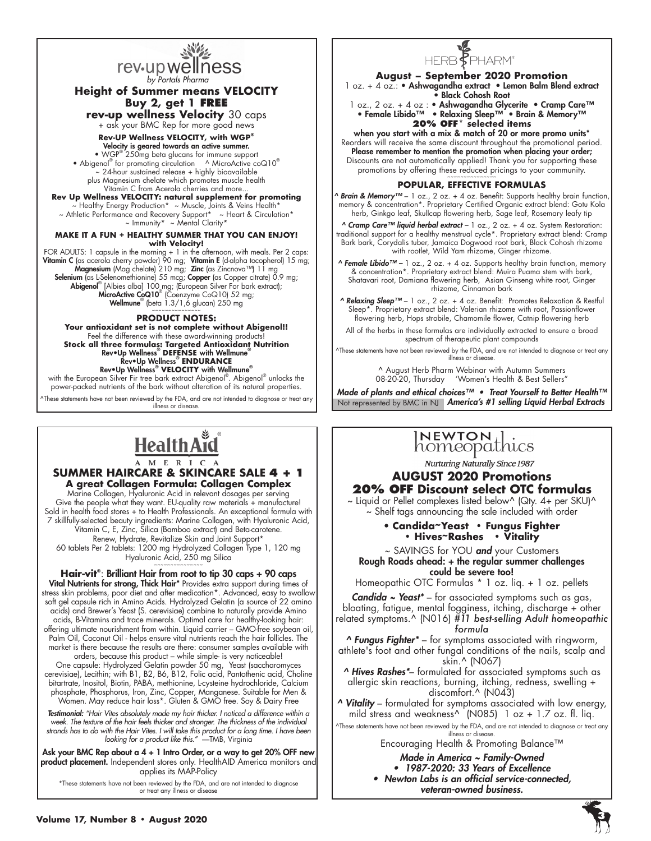

#### **Height of Summer means VELOCITY Buy 2, get 1 FREE**

**rev-up wellness Velocity** 30 caps + ask your BMC Rep for more good news

#### **Rev-UP Wellness VELOCITY, with WGP®**

Velocity is geared towards an active summer. • WGP® 250mg beta glucans for immune support • Abigenol® for promoting circulation ^ MicroActive coQ10® ~ 24-hour sustained release + highly bioavailable plus Magnesium chelate which promotes muscle health Vitamin C from Acerola cherries and more...

### **Rev Up Wellness VELOCITY: natural supplement for promoting**<br>
~ Healthy Energy Production\* ~ Muscle, Joints & Veins Health\*

~ Athletic Performance and Recovery Support\* ~ Heart & Circulation\* ~ Immunity\* ~ Mental Clarity\*

#### **MAKE IT A FUN + HEALTHY SUMMER THAT YOU CAN ENJOY! with Velocity!**

FOR ADULTS: 1 capsule in the morning + 1 in the afternoon, with meals. Per 2 caps: **Vitamin C** (as acerola cherry powder) 90 mg; **Vitamin E** (d-alpha tocopherol) 15 mg; **Magnesium** (Mag chelate) 210 mg; **Zinc** (as Zincnova™) 11 mg Selenium (as L-Selenomethionine) 55 mcg; Copper (as Copper citrate) 0.9 mg; Abigenol® [Albies alba] 100 mg; (European Silver For bark extract);<br>MicroActive CoQ10® (Coenzyme CoQ10) 52 mg; **Wellmune**® (beta 1.3/1,6 glucan) 250 mg

#### ~~~~~~~~~~~~~~~ **PRODUCT NOTES:**

**Your antioxidant set is not complete without Abigenol!!**  Feel the difference with these award-winning products **Stock all three formulas: Targeted Antioxidant Nutrition** Rev•Up Wellness® **DEFENSE** with Wellmune® Rev•Up Wellness® **ENDURANCE**  Rev•Up Wellness® **VELOCITY** with Wellmune®

with the European Silver Fir tree bark extract Abigenol® . Abigenol® unlocks the power-packed nutrients of the bark without alteration of its natural properties. ^These statements have not been reviewed by the FDA, and are not intended to diagnose or treat any

illness or disease.

# **Health Ard**

#### **SUMMER HAIRCARE & SKINCARE SALE 4 + 1 A great Collagen Formula: Collagen Complex**

Marine Collagen, Hyaluronic Acid in relevant dosages per serving Give the people what they want. EU-quality raw materials + manufacture! Sold in health food stores + to Health Professionals. An exceptional formula with 7 skillfully-selected beauty ingredients: Marine Collagen, with Hyaluronic Acid, Vitamin C, E, Zinc, Silica (Bamboo extract) and Beta-carotene. Renew, Hydrate, Revitalize Skin and Joint Support\* 60 tablets Per 2 tablets: 1200 mg Hydrolyzed Collagen Type 1, 120 mg Hyaluronic Acid, 250 mg Silica ~~~~~~~~~~~~~~~

#### **Hair-vit®** : Brilliant Hair from root to tip 30 caps + 90 caps

Vital Nutrients for strong, Thick Hair\* Provides extra support during times of stress skin problems, poor diet and after medication\*. Advanced, easy to swallow soft gel capsule rich in Amino Acids. Hydrolyzed Gelatin (a source of 22 amino acids) and Brewer's Yeast (S. cerevisiae) combine to naturally provide Amino acids, B-Vitamins and trace minerals. Optimal care for healthy-looking hair: offering ultimate nourishment from within. Liquid carrier – GMO-free soybean oil, Palm Oil, Coconut Oil - helps ensure vital nutrients reach the hair follicles. The market is there because the results are there: consumer samples available with orders, because this product – while simple- is very noticeable!

One capsule: Hydrolyzed Gelatin powder 50 mg, Yeast (saccharomyces cerevisiae), Lecithin; with B1, B2, B6, B12, Folic acid, Pantothenic acid, Choline bitartrate, Inositol, Biotin, PABA, methionine, L-cysteine hydrochloride, Calcium phosphate, Phosphorus, Iron, Zinc, Copper, Manganese. Suitable for Men & Women. May reduce hair loss\*. Gluten & GMO free. Soy & Dairy Free

*Testimonial: "Hair Vites absolutely made my hair thicker. I noticed a difference within a week. The texture of the hair feels thicker and stronger. The thickness of the individual strands has to do with the Hair Vites. I will take this product for a long time. I have been looking for a product like this."* —TMB, Virginia

Ask your BMC Rep about a 4 + 1 Intro Order, or a way to get 20% OFF new product placement. Independent stores only. HealthAID America monitors and applies its MAP-Policy

\*These statements have not been reviewed by the FDA, and are not intended to diagnose or treat any illness or disease



1 oz. + 4 oz.: • Ashwagandha extract • Lemon Balm Blend extract • Black Cohosh Root

1 oz., 2 oz. + 4 oz : • Ashwagandha Glycerite • Cramp Care<sup>™</sup> • Female Libido™ • Relaxing Sleep™ • Brain & Memory™ **20% OFF\* selected items**

when you start with a mix & match of 20 or more promo units\* Reorders will receive the same discount throughout the promotional period. Please remember to mention the promotion when placing your order; Discounts are not automatically applied! Thank you for supporting these promotions by offering these reduced pricings to your community.

#### **POPULAR, EFFECTIVE FORMULAS**

*^ Brain & Memory™* – 1 oz., 2 oz. + 4 oz. Benefit: Supports healthy brain function, memory & concentration\*. Proprietary Certified Organic extract blend: Gotu Kola herb, Ginkgo leaf, Skullcap flowering herb, Sage leaf, Rosemary leafy tip

*^ Cramp Care™ liquid herbal extract –* 1 oz., 2 oz. + 4 oz. System Restoration: traditional support for a healthy menstrual cycle\*. Proprietary extract blend: Cramp Bark bark, Corydalis tuber, Jamaica Dogwood root bark, Black Cohosh rhizome with rootlet, Wild Yam rhizome, Ginger rhizome.

*^ Female Libido™ –* 1 oz., 2 oz. + 4 oz. Supports healthy brain function, memory & concentration\*. Proprietary extract blend: Muira Puama stem with bark, Shatavari root, Damiana flowering herb, Asian Ginseng white root, Ginger rhizome, Cinnamon bark

*^ Relaxing Sleep™* – 1 oz., 2 oz. + 4 oz. Benefit: Promotes Relaxation & Restful Sleep\*. Proprietary extract blend: Valerian rhizome with root, Passionflower flowering herb, Hops strobile, Chamomile flower, Catnip flowering herb

All of the herbs in these formulas are individually extracted to ensure a broad spectrum of therapeutic plant compounds

^These statements have not been reviewed by the FDA, and are not intended to diagnose or treat any i<sup>es</sup> or diseas

> ^ August Herb Pharm Webinar with Autumn Summers 08-20-20, Thursday 'Women's Health & Best Sellers"

Not represented by BMC in NJ **America's #1 selling Liquid Herbal Extracts** *Made of plants and ethical choices™ • Treat Yourself to Better Health™*

#### **NEWTON** homeopathics

Nurturing Naturally Since 1987

#### **AUGUST 2020 Promotions 20% OFF Discount select OTC formulas**

 $\sim$  Liquid or Pellet complexes listed below^ (Qty. 4+ per SKU)^ ~ Shelf tags announcing the sale included with order

#### • **Candida~Yeast • Fungus Fighter • Hives~Rashes • Vitality**

~ SAVINGS for YOU *and* your Customers Rough Roads ahead: + the regular summer challenges could be severe too!

Homeopathic OTC Formulas \* 1 oz. liq. + 1 oz. pellets

*Candida ~ Yeast\** – for associated symptoms such as gas, bloating, fatigue, mental fogginess, itching, discharge + other related symptoms.^ (N016) *#11 best-selling Adult homeopathic formula*

*^ Fungus Fighter\** – for symptoms associated with ringworm, athlete's foot and other fungal conditions of the nails, scalp and skin.^ (N067)

*^ Hives Rashes\**– formulated for associated symptoms such as allergic skin reactions, burning, itching, redness, swelling + discomfort.^ (N043)

*^ Vitality* – formulated for symptoms associated with low energy, mild stress and weakness<sup> $\wedge$ </sup> (N085) 1 oz + 1.7 oz. fl. lig.

^These statements have not been reviewed by the FDA, and are not intended to diagnose or treat any illness or disease.

Encouraging Health & Promoting Balance™

*Made in America ~ Family-Owned • 1987-2020: 33 Years of Excellence* 

*• Newton Labs is an official service-connected, veteran-owned business.* 

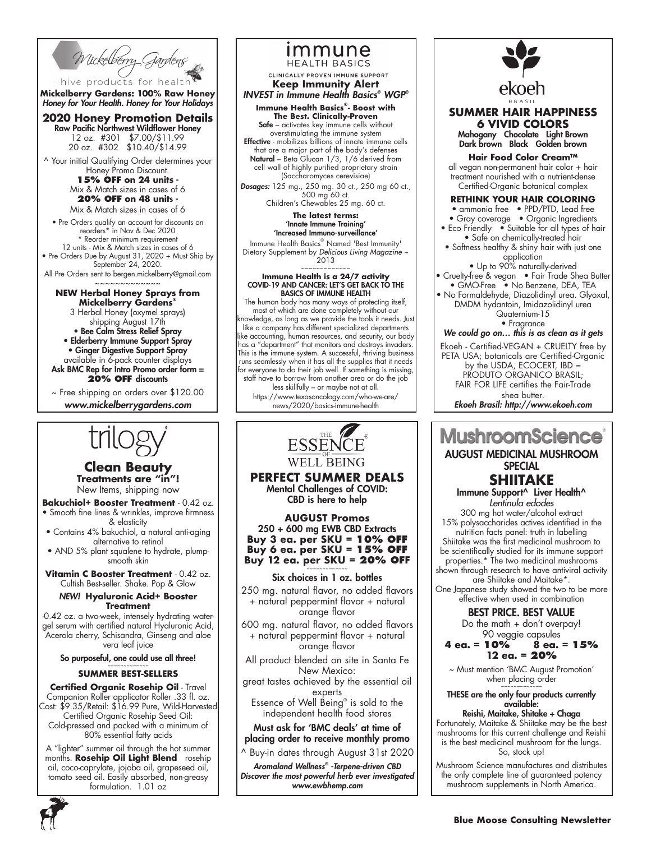Wickelberry Gardens

hive products for healt **Mickelberry Gardens: 100% Raw Honey** *Honey for Your Health. Honey for Your Holidays*

### **2020 Honey Promotion Details**

**Raw Pacific Northwest Wildflower Honey** 12 oz. #301 \$7.00/\$11.99 20 oz. #302 \$10.40/\$14.99

^ Your initial Qualifying Order determines your Honey Promo Discount.

**15% OFF on 24 units** - Mix & Match sizes in cases of 6 **20% OFF on 48 unit**s - Mix & Match sizes in cases of 6

• Pre Orders qualify an account for discounts on reorders\* in Nov & Dec 2020 \* Reorder minimum requirement 12 units - Mix & Match sizes in cases of 6 • Pre Orders Due by August 31, 2020 + Must Ship by

September 24, 2020. All Pre Orders sent to bergen.mickelberry@gmail.com

~~~~~~~~~~~~~

#### **NEW Herbal Honey Sprays from Mickelberry Gardens®**

3 Herbal Honey (oxymel sprays) shipping August 17th

• Bee Calm Stress Relief Spray • Elderberry Immune Support Spray • Ginger Digestive Support Spray

available in 6-pack counter displays Ask BMC Rep for Intro Promo order form = **20% OFF** discounts

~ Free shipping on orders over \$120.00

*www.mickelberrygardens.com*

**Clean Beauty Treatments are "in"!** New Items, shipping now **Bakuchiol+ Booster Treatment** - 0.42 oz. • Smooth fine lines & wrinkles, improve firmness & elasticity • Contains 4% bakuchiol, a natural anti-aging alternative to retinol • AND 5% plant squalene to hydrate, plumpsmooth skin **Vitamin C Booster Treatment** - 0.42 oz. Cultish Best-seller. Shake. Pop & Glow *NEW!* **Hyaluronic Acid+ Booster Treatment**  -0.42 oz. a two-week, intensely hydrating water-

#### <u>Immune</u> **HEALTH BASICS**

CLINICALLY PROVEN IMMUNE SUPPORT

**Keep Immunity Alert**

#### *INVEST in Immune Health Basics® WGP®*  **Immune Health Basics® - Boost with The Best. Clinically-Proven**

Safe – activates key immune cells without overstimulating the immune system<br>**Effective** - mobilizes billions of innate immune cells that are a major part of the body's defenses Natural – Beta Glucan 1/3, 1/6 derived from cell wall of highly purified proprietary strain (Saccharomyces cerevisiae)

*Dosages:* 125 mg., 250 mg. 30 ct., 250 mg 60 ct., 500 mg 60 ct.

Children's Chewables 25 mg. 60 ct. **The latest terms:** 'Innate Immune Training'

'Increased Immuno-surveillance'

Immune Health Basics® Named 'Best Immunity' Dietary Supplement by *Delicious Living Magazine* ~ 2013

### ~~~~~~~~~~~~~ **Immune Health is a 24/7 activity** COVID-19 AND CANCER: LET'S GET BACK TO THE BASICS OF IMMUNE HEALTH

The human body has many ways of protecting itself, most of which are done completely without our knowledge, as long as we provide the tools it needs. Just like a company has different specialized departments like accounting, human resources, and security, our body has a "department" that monitors and destroys invaders. This is the immune system. A successful, thriving business runs seamlessly when it has all the supplies that it needs for everyone to do their job well. If something is missing, staff have to borrow from another area or do the job

less skillfully – or maybe not at all. https://www.texasoncology.com/who-we-are/ news/2020/basics-immune-health



#### **PERFECT SUMMER DEALS** Mental Challenges of COVID:

CBD is here to help

**AUGUST Promos** 250 + 600 mg EWB CBD Extracts **Buy 3 ea. per SKU = 10% OFF Buy 6 ea. per SKU = 15% OFF Buy 12 ea. per SKU = 20% OFF** 

#### Six choices in 1 oz. bottles

250 mg. natural flavor, no added flavors + natural peppermint flavor + natural orange flavor

600 mg. natural flavor, no added flavors + natural peppermint flavor + natural orange flavor

All product blended on site in Santa Fe New Mexico:

great tastes achieved by the essential oil experts

Essence of Well Being® is sold to the independent health food stores

Must ask for 'BMC deals' at time of placing order to receive monthly promo

^ Buy-in dates through August 31st 2020

*Aromaland Wellness® -Terpene-driven CBD Discover the most powerful herb ever investigated www.ewbhemp.com*



#### **SUMMER HAIR HAPPINESS 6 VIVID COLORS**

Mahogany Chocolate Light Brown Dark brown Black Golden brown

**Hair Food Color Cream™**

all vegan non-permanent hair color + hair treatment nourished with a nutrient-dense Certified-Organic botanical complex

#### **RETHINK YOUR HAIR COLORING**

• ammonia free • PPD/PTD, Lead free

- Gray coverage Organic Ingredients • Eco Friendly • Suitable for all types of hair
- Safe on chemically-treated hair • Softness healthy & shiny hair with just one application
- Up to 90% naturally-derived
- Cruelty-free & vegan Fair Trade Shea Butter • GMO-Free • No Benzene, DEA, TEA
- No Formaldehyde, Diazolidinyl urea. Glyoxal, DMDM hydantoin, Imidazolidinyl urea Quaternium-15 • Fragrance

#### *We could go on… this is as clean as it gets*

Ekoeh - Certified-VEGAN + CRUELTY free by PETA USA; botanicals are Certified-Organic by the USDA, ECOCERT, IBD = PRODUTO ORGANICO BRASIL; FAIR FOR LIFE certifies the Fair-Trade shea butter. *Ekoeh Brasil: http://www.ekoeh.com*

### **MushroomScience** AUGUST MEDICINAL MUSHROOM SPECIAL

**SHIITAKE** Immune Support^ Liver Health^

*Lentinula edodes* 300 mg hot water/alcohol extract 15% polysaccharides actives identified in the nutrition facts panel: truth in labelling Shiitake was the first medicinal mushroom to be scientifically studied for its immune support properties.\* The two medicinal mushrooms shown through research to have antiviral activity are Shiitake and Maitake\*.

One Japanese study showed the two to be more effective when used in combination

#### BEST PRICE. BEST VALUE

Do the math + don't overpay!

90 veggie capsules<br>**4 ea. = 10% 8 ea. 4 ea. = 10% 8 ea. = 15% 12 ea. = 20%**

~ Must mention 'BMC August Promotion' when placing order ~~~~~~~~~~~~~

THESE are the only four products currently available:

Reishi, Maitake, Shitake + Chaga

Fortunately, Maitake & Shiitake may be the best mushrooms for this current challenge and Reishi is the best medicinal mushroom for the lungs. So, stock up!

Mushroom Science manufactures and distributes the only complete line of guaranteed potency mushroom supplements in North America.

gel serum with certified natural Hyaluronic Acid, Acerola cherry, Schisandra, Ginseng and aloe vera leaf juice So purposeful, one could use all three! ~~~~~~~~~~~~~

### **SUMMER BEST-SELLERS**

**Certified Organic Rosehip Oil** - Travel Companion Roller applicator Roller .33 fl. oz. Cost: \$9.35/Retail: \$16.99 Pure, Wild-Harvested Certified Organic Rosehip Seed Oil: Cold-pressed and packed with a minimum of 80% essential fatty acids

A "lighter" summer oil through the hot summer months. **Rosehip Oil Light Blend** rosehip oil, coco-caprylate, jojoba oil, grapeseed oil, tomato seed oil. Easily absorbed, non-greasy formulation. 1.01 oz

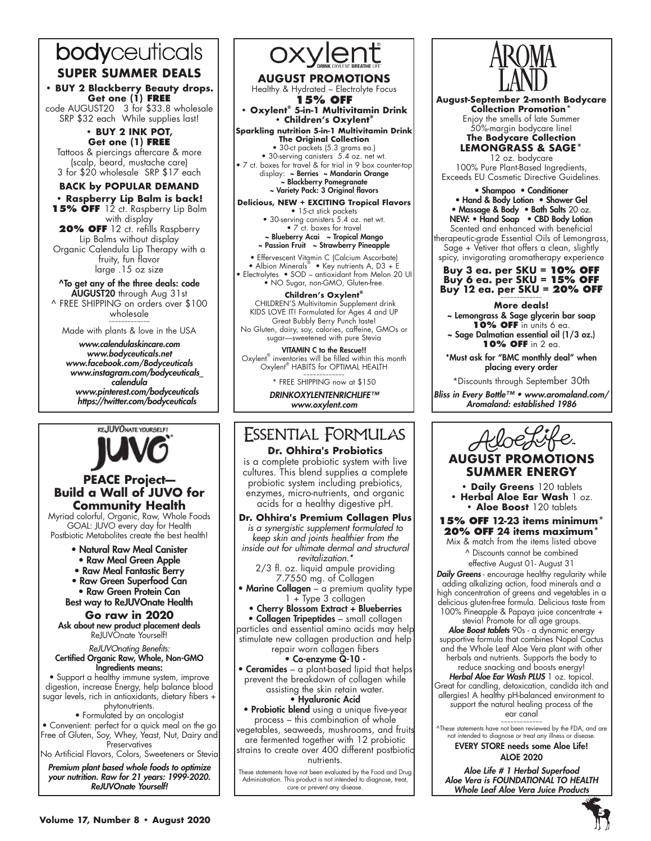### bodyceuticals **SUPER SUMMER DEALS**

#### **• BUY 2 Blackberry Beauty drops. Get one (1) FREE**

code AUGUST20 3 for \$33.8 wholesale SRP \$32 each While supplies last!

#### **• BUY 2 INK POT, Get one (1) FREE**

Tattoos & piercings aftercare & more (scalp, beard, mustache care) 3 for \$20 wholesale SRP \$17 each

#### **BACK by POPULAR DEMAND**

**• Raspberry Lip Balm is back!** 15% OFF 12 ct. Raspberry Lip Balm with display **20% OFF** 12 ct. refills Raspberry Lip Balms without display Organic Calendula Lip Therapy with a fruity, fun flavor large .15 oz size

^To get any of the three deals: code AUGUST20 through Aug 31st ^ FREE SHIPPING on orders over \$100 wholesale ~~~~~~~~~~~~~

Made with plants & love in the USA

*www.calendulaskincare.com www.bodyceuticals.net www.facebook.com/Bodyceuticals www.instagram.com/bodyceuticals\_ calendula www.pinterest.com/bodyceuticals https://twitter.com/bodyceuticals* 



#### **PEACE Project— Build a Wall of JUVO for Community Health**

Myriad colorful, Organic, Raw, Whole Foods GOAL: JUVO every day for Health Postbiotic Metabolites create the best health!

• Natural Raw Meal Canister

- Raw Meal Green Apple
- Raw Meal Fantastic Berry

• Raw Green Superfood Can • Raw Green Protein Can

Best way to ReJUVOnate Health

#### **Go raw in 2020**

Ask about new product placement deals ReJUVOnate Yourself!

#### *ReJUVOnating Benefits:* Certified Organic Raw, Whole, Non-GMO Ingredients means:

• Support a healthy immune system, improve digestion, increase Energy, help balance blood sugar levels, rich in antioxidants, dietary fibers + phytonutrients.

#### • Formulated by an oncologist

• Convenient: perfect for a quick meal on the go Free of Gluten, Soy, Whey, Yeast, Nut, Dairy and **Preservatives** 

No Artificial Flavors, Colors, Sweeteners or Stevia *Premium plant based whole foods to optimize* 

*your nutrition. Raw for 21 years: 1999-2020. ReJUVOnate Yourself!*



**AUGUST PROMOTIONS** Healthy & Hydrated – Electrolyte Focus **15% OFF**

**• Oxylent® 5-in-1 Multivitamin Drink • Children's Oxylent®**

**Sparkling nutrition 5-in-1 Multivitamin Drink The Original Collection**

• 30-ct packets (5.3 grams ea.) • 30-serving canisters 5.4 oz. net wt. • 7 ct. boxes for travel & for trial in 9 box counter-top display: ~ Berries ~ Mandarin Orange

~ Blackberry Pomegranate ~ Variety Pack: 3 Original flavors

**Delicious, NEW + EXCITING Tropical Flavors** • 15-ct stick packets • 30-serving canisters 5.4 oz. net wt. • 7 ct. boxes for travel ~ Blueberry Acai ~ Tropical Mango

~ Passion Fruit ~ Strawberry Pineapple

• Effervescent Vitamin C (Calcium Ascorbate) • Albion Minerals<sup>®</sup> • Key nutrients A, D3 + E • Electrolytes • SOD – antioxidant from Melon 20 UI • NO Sugar, non-GMO, Gluten-free.

**Children's Oxylent®** CHILDREN'S Multivitamin Supplement drink KIDS LOVE IT! Formulated for Ages 4 and UP Great Bubbly Berry Punch taste! No Gluten, dairy, soy, calories, caffeine, GMOs or sugar—sweetened with pure Stevia

VITAMIN C to the Rescue!! Oxylent<sup>®</sup> inventories will be filled within this month Oxylent<sup>®</sup> HABITS for OPTIMAL HEALTH

~~~~~~~~~~~~~ \* FREE SHIPPING now at \$150 *DRINKOXYLENTENRICHLIFE™*

*www.oxylent.com*

### **ESSENTIAL FORMULAS**

#### **Dr. Ohhira's Probiotics**

is a complete probiotic system with live cultures. This blend supplies a complete probiotic system including prebiotics, enzymes, micro-nutrients, and organic acids for a healthy digestive pH.

#### **Dr. Ohhira's Premium Collagen Plus**

*is a synergistic supplement formulated to keep skin and joints healthier from the inside out for ultimate dermal and structural revitalization.\**

2/3 fl. oz. liquid ampule providing 7.7550 mg. of Collagen

• Marine Collagen - a premium quality type 1 + Type 3 collagen

• Cherry Blossom Extract + Blueberries • Collagen Tripeptides – small collagen particles and essential amino acids may help

stimulate new collagen production and help repair worn collagen fibers

#### • Co-enzyme Q-10 - • **Ceramides** – a plant-based lipid that helps

prevent the breakdown of collagen while assisting the skin retain water. • Hyaluronic Acid

• Probiotic blend using a unique five-year process – this combination of whole vegetables, seaweeds, mushrooms, and fruits are fermented together with 12 probiotic strains to create over 400 different postbiotic

nutrients.

These statements have not been evaluated by the Food and Drug Administration. This product is not intended to diagnose, treat, cure or prevent any disease.



**August-September 2-month Bodycare Collection Promotion\*** Enjoy the smells of late Summer 50%-margin bodycare line! **The Bodycare Collection LEMONGRASS & SAGE\*** 

12 oz. bodycare 100% Pure Plant-Based Ingredients, Exceeds EU Cosmetic Directive Guidelines.

• Shampoo • Conditioner • Hand & Body Lotion • Shower Gel • Massage & Body • Bath Salts 20 oz. NEW: • Hand Soap • CBD Body Lotion Scented and enhanced with beneficial therapeutic-grade Essential Oils of Lemongrass, Sage + Vetiver that offers a clean, slightly spicy, invigorating aromatherapy experience

**Buy 3 ea. per SKU = 10% OFF Buy 6 ea. per SKU = 15% OFF Buy 12 ea. per SKU = 20% OFF** ~~~~~~~~~~~~~

**More deals!** ~ Lemongrass & Sage glycerin bar soap 10% OFF in units 6 ea. ~ Sage Dalmatian essential oil (1/3 oz.) **10% OFF** in 2 ea.

\*Must ask for "BMC monthly deal" when placing every order

\*Discounts through September 30th

*Bliss in Every Bottle™ • www.aromaland.com/ Aromaland: established 1986*



### **AUGUST PROMOTIONS SUMMER ENERGY**

**• Daily Greens** 120 tablets **• Herbal Aloe Ear Wash** 1 oz. **• Aloe Boost** 120 tablets

**15% OFF 12-23 items minimum\* 20% OFF 24 items maximum\***

Mix & match from the items listed above ^ Discounts cannot be combined effective August 01- August 31

**Daily Greens** - encourage healthy regularity while adding alkalizing action, food minerals and a high concentration of greens and vegetables in a delicious gluten-free formula. Delicious taste from 100% Pineapple & Papaya juice concentrate +

stevia! Promote for all age groups. *Aloe Boost tablets* 90s - a dynamic energy supportive formula that combines Nopal Cactus and the Whole Leaf Aloe Vera plant with other herbals and nutrients. Supports the body to

reduce snacking and boosts energy! *Herbal Aloe Ear Wash PLUS* 1 oz. topical. Great for candling, detoxication, candida itch and allergies! A healthy pH-balanced environment to support the natural healing process of the ear canal

~~~~~~~~~~~~~ ^These statements have not been reviewed by the FDA, and are not intended to diagnose or treat any illness or disease.

EVERY STORE needs some Aloe Life! ALOE 2020

*Aloe Life # 1 Herbal Superfood Aloe Vera is FOUNDATIONAL TO HEALTH Whole Leaf Aloe Vera Juice Products*

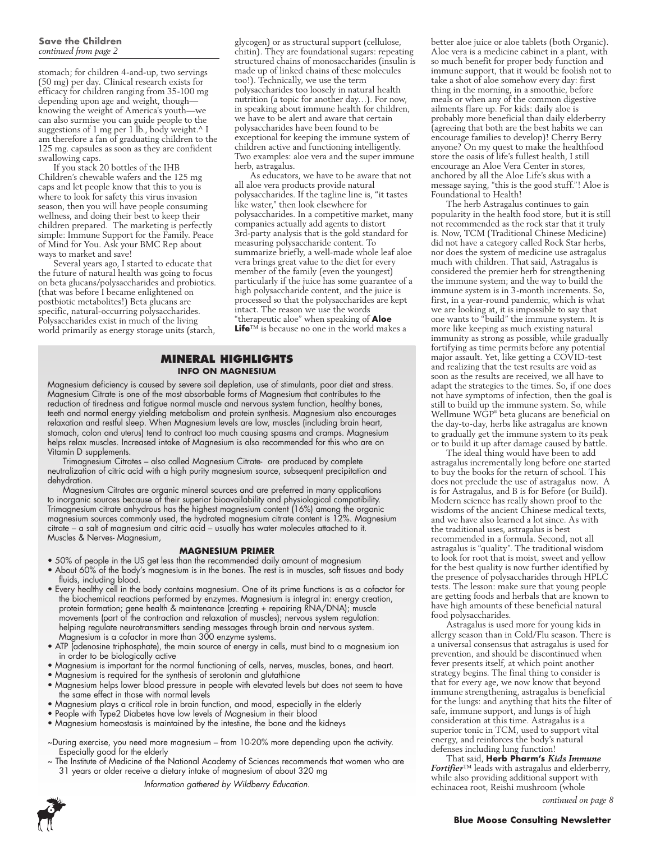stomach; for children 4-and-up, two servings (50 mg) per day. Clinical research exists for efficacy for children ranging from 35-100 mg depending upon age and weight, though knowing the weight of America's youth—we can also surmise you can guide people to the suggestions of 1 mg per 1 lb., body weight.^ I am therefore a fan of graduating children to the 125 mg. capsules as soon as they are confident swallowing caps.

If you stack 20 bottles of the IHB Children's chewable wafers and the 125 mg caps and let people know that this to you is where to look for safety this virus invasion season, then you will have people consuming wellness, and doing their best to keep their children prepared. The marketing is perfectly simple: Immune Support for the Family. Peace of Mind for You. Ask your BMC Rep about ways to market and save!

Several years ago, I started to educate that the future of natural health was going to focus on beta glucans/polysaccharides and probiotics. (that was before I became enlightened on postbiotic metabolites!) Beta glucans are specific, natural-occurring polysaccharides. Polysaccharides exist in much of the living world primarily as energy storage units (starch, glycogen) or as structural support (cellulose, chitin). They are foundational sugars: repeating structured chains of monosaccharides (insulin is made up of linked chains of these molecules too!). Technically, we use the term polysaccharides too loosely in natural health nutrition (a topic for another day…). For now, in speaking about immune health for children, we have to be alert and aware that certain polysaccharides have been found to be exceptional for keeping the immune system of children active and functioning intelligently. Two examples: aloe vera and the super immune herb, astragalus.

As educators, we have to be aware that not all aloe vera products provide natural polysaccharides. If the tagline line is, "it tastes like water," then look elsewhere for polysaccharides. In a competitive market, many companies actually add agents to distort 3rd-party analysis that is the gold standard for measuring polysaccharide content. To summarize briefly, a well-made whole leaf aloe vera brings great value to the diet for every member of the family (even the youngest) particularly if the juice has some guarantee of a high polysaccharide content, and the juice is processed so that the polysaccharides are kept intact. The reason we use the words "therapeutic aloe" when speaking of **Aloe Life**™ is because no one in the world makes a

#### **MINERAL HIGHLIGHTS INFO ON MAGNESIUM**

Magnesium deficiency is caused by severe soil depletion, use of stimulants, poor diet and stress. Magnesium Citrate is one of the most absorbable forms of Magnesium that contributes to the reduction of tiredness and fatigue normal muscle and nervous system function, healthy bones, teeth and normal energy yielding metabolism and protein synthesis. Magnesium also encourages relaxation and restful sleep. When Magnesium levels are low, muscles (including brain heart, stomach, colon and uterus) tend to contract too much causing spasms and cramps. Magnesium helps relax muscles. Increased intake of Magnesium is also recommended for this who are on Vitamin D supplements.

Trimagnesium Citrates – also called Magnesium Citrate- are produced by complete neutralization of citric acid with a high purity magnesium source, subsequent precipitation and dehydration.

Magnesium Citrates are organic mineral sources and are preferred in many applications to inorganic sources because of their superior bioavailability and physiological compatibility. Trimagnesium citrate anhydrous has the highest magnesium content (16%) among the organic magnesium sources commonly used, the hydrated magnesium citrate content is 12%. Magnesium citrate – a salt of magnesium and citric acid – usually has water molecules attached to it. Muscles & Nerves- Magnesium,

#### **MAGNESIUM PRIMER**

- 50% of people in the US get less than the recommended daily amount of magnesium
- About 60% of the body's magnesium is in the bones. The rest is in muscles, soft tissues and body fluids, including blood. • Every healthy cell in the body contains magnesium. One of its prime functions is as a cofactor for
- the biochemical reactions performed by enzymes. Magnesium is integral in: energy creation, protein formation; gene health & maintenance (creating + repairing RNA/DNA); muscle movements (part of the contraction and relaxation of muscles); nervous system regulation: helping regulate neurotransmitters sending messages through brain and nervous system. Magnesium is a cofactor in more than 300 enzyme systems.
- ATP (adenosine triphosphate), the main source of energy in cells, must bind to a magnesium ion in order to be biologically active
- Magnesium is important for the normal functioning of cells, nerves, muscles, bones, and heart.
- Magnesium is required for the synthesis of serotonin and glutathione
- Magnesium helps lower blood pressure in people with elevated levels but does not seem to have the same effect in those with normal levels
- Magnesium plays a critical role in brain function, and mood, especially in the elderly
- People with Type2 Diabetes have low levels of Magnesium in their blood
- Magnesium homeostasis is maintained by the intestine, the bone and the kidneys
- ~During exercise, you need more magnesium from 10-20% more depending upon the activity. Especially good for the elderly
- ~ The Institute of Medicine of the National Academy of Sciences recommends that women who are 31 years or older receive a dietary intake of magnesium of about 320 mg

*Information gathered by Wildberry Education.*



better aloe juice or aloe tablets (both Organic). Aloe vera is a medicine cabinet in a plant, with so much benefit for proper body function and immune support, that it would be foolish not to take a shot of aloe somehow every day: first thing in the morning, in a smoothie, before meals or when any of the common digestive ailments flare up. For kids: daily aloe is probably more beneficial than daily elderberry (agreeing that both are the best habits we can encourage families to develop)! Cherry Berry anyone? On my quest to make the healthfood store the oasis of life's fullest health, I still encourage an Aloe Vera Center in stores, anchored by all the Aloe Life's skus with a message saying, "this is the good stuff."! Aloe is Foundational to Health!

The herb Astragalus continues to gain popularity in the health food store, but it is still not recommended as the rock star that it truly is. Now, TCM (Traditional Chinese Medicine) did not have a category called Rock Star herbs, nor does the system of medicine use astragalus much with children. That said, Astragalus is considered the premier herb for strengthening the immune system; and the way to build the immune system is in 3-month increments. So, first, in a year-round pandemic, which is what we are looking at, it is impossible to say that one wants to "build" the immune system. It is more like keeping as much existing natural immunity as strong as possible, while gradually fortifying as time permits before any potential major assault. Yet, like getting a COVID-test and realizing that the test results are void as soon as the results are received, we all have to adapt the strategies to the times. So, if one does not have symptoms of infection, then the goal is still to build up the immune system. So, while Wellmune WGP® beta glucans are beneficial on the day-to-day, herbs like astragalus are known to gradually get the immune system to its peak or to build it up after damage caused by battle.

The ideal thing would have been to add astragalus incrementally long before one started to buy the books for the return of school. This does not preclude the use of astragalus now. A is for Astragalus, and B is for Before (or Build). Modern science has really shown proof to the wisdoms of the ancient Chinese medical texts, and we have also learned a lot since. As with the traditional uses, astragalus is best recommended in a formula. Second, not all astragalus is "quality". The traditional wisdom to look for root that is moist, sweet and yellow for the best quality is now further identified by the presence of polysaccharides through HPLC tests. The lesson: make sure that young people are getting foods and herbals that are known to have high amounts of these beneficial natural food polysaccharides.

Astragalus is used more for young kids in allergy season than in Cold/Flu season. There is a universal consensus that astragalus is used for prevention, and should be discontinued when fever presents itself, at which point another strategy begins. The final thing to consider is that for every age, we now know that beyond immune strengthening, astragalus is beneficial for the lungs: and anything that hits the filter of safe, immune support, and lungs is of high consideration at this time. Astragalus is a superior tonic in TCM, used to support vital energy, and reinforces the body's natural defenses including lung function!

That said, **Herb Pharm's** *Kids Immune Fortifier*™ leads with astragalus and elderberry, while also providing additional support with echinacea root, Reishi mushroom (whole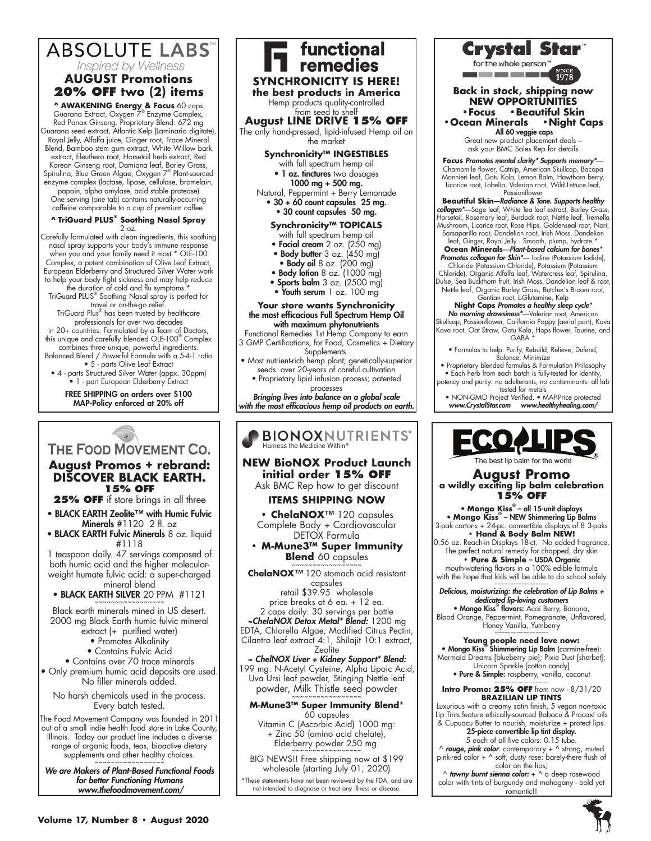### **ABSOLUTE LABS** *Inspired by Wellness*

### **AUGUST Promotions 20% OFF two (2) items**

**^ AWAKENING Energy & Focus** 60 caps Guarana Extract, Oxygen 7® Enzyme Complex, Red Panax Ginseng. Proprietary Blend: 672 mg Guarana seed extract, Atlantic Kelp (Laminaria digitate), Royal Jelly, Alfalfa juice, Ginger root, Trace Mineral Blend, Bamboo stem gum extract, White Willow bark extract, Eleuthero root, Horsetail herb extract, Red Korean Ginseng root, Damiana leaf, Barley Grass, Spirulina, Blue Green Algae, Oxygen 7® Plant-sourced enzyme complex (lactase, lipase, cellulase, bromelain, papain, alpha amylase, acid stable protease) One serving (one tab) contains naturally-occurring caffeine comparable to a cup of premium coffee.

#### **^ TriGuard PLUS® Soothing Nasal Spray**   $2 oz$ .

Carefully formulated with clean ingredients, this soothing nasal spray supports your body's immune response when you and your family need it most.\* OLE-100 Complex, a potent combination of Olive Leaf Extract, European Elderberry and Structured Silver Water work to help your body fight sickness and may help reduce

the duration of cold and flu symptoms.<sup>\*</sup> TriGuard PLUS® Soothing Nasal spray is perfect for

travel or on-the-go relief. TriGuard Plus® has been trusted by healthcare

professionals for over two decades in 20+ countries. Formulated by a Team of Doctors, this unique and carefully blended OLE-100® Complex combines three unique, powerful ingredients.

Balanced Blend / Powerful Formula with a 5-4-1 ratio • 5 - parts Olive Leaf Extract

• 4 - parts Structured Silver Water (appx. 30ppm) • 1 - part European Elderberry Extract

FREE SHIPPING on orders over \$100 MAP-Policy enforced at 20% off

### THE FOOD MOVEMENT CO.

#### **August Promos + rebrand: DISCOVER BLACK EARTH. 15% OFF**

**25% OFF** if store brings in all three

- BLACK EARTH Zeolite™ with Humic Fulvic Minerals #1120 2 fl. oz
- BLACK EARTH Fulvic Minerals 8 oz. liquid #1118

1 teaspoon daily. 47 servings composed of both humic acid and the higher molecularweight humate fulvic acid: a super-charged mineral blend

• BLACK EARTH SILVER 20 PPM #1121

Black earth minerals mined in US desert. 2000 mg Black Earth humic fulvic mineral extract (+ purified water) • Promotes Alkalinity • Contains Fulvic Acid

• Contains over 70 trace minerals

• Only premium humic acid deposits are used. No filler minerals added.

No harsh chemicals used in the process. Every batch tested.

The Food Movement Company was founded in 2011 out of a small indie health food store in Lake County, Illinois. Today our product line includes a diverse range of organic foods, teas, bioactive dietary supplements and other healthy choices.

*We are Makers of Plant-Based Functional Foods for better Functioning Humans www.thefoodmovement.com/*



### **August LINE DRIVE 15% OFF**

The only hand-pressed, lipid-infused Hemp oil on the market

#### **Synchronicity™ INGESTIBLES**

- with full spectrum hemp oil • 1 oz. tinctures two dosages
	- 1000 mg + 500 mg.
- Natural, Peppermint + Berry Lemonade • 30 + 60 count capsules 25 mg.

### • 30 count capsules 50 mg.

### **Synchronicity™ TOPICALS**

- with full spectrum hemp oil • Facial cream 2 oz. (250 mg)
- Body butter 3 oz. (450 mg)
- Body oil 8 oz. (200 mg)
- Body lotion 8 oz. (1000 mg)
- Sports balm 3 oz. (2500 mg)
- Youth serum 1 oz. 100 mg

#### **Your store wants Synchronicity** the most efficacious Full Spectrum Hemp Oil with maximum phytonutrients

Functional Remedies 1st Hemp Company to earn 3 GMP Certifications, for Food, Cosmetics + Dietary

- Supplements. • Most nutrient-rich hemp plant; genetically-superior seeds: over 20-years of careful cultivation
	- Proprietary lipid infusion process; patented processes

*Bringing lives into balance on a global scale with the most efficacious hemp oil products on earth.*

#### **BIONOXNUTRIENTS®** Harness the Medicine Within<sup>®</sup>

#### **NEW BioNOX Product Launch initial order 15% OFF**

Ask BMC Rep how to get discount

#### **ITEMS SHIPPING NOW**

**• ChelaNOX**™ 120 capsules Complete Body + Cardiovascular DETOX Formula

#### **• M-Mune3™ Super Immunity Blend** 60 capsules

**ChelaNOX***™* 120 stomach acid resistant capsules

retail \$39.95 wholesale price breaks at 6 ea. + 12 ea. 2 caps daily: 30 servings per bottle *~ChelaNOX Detox Metal\* Blend:* 1200 mg EDTA, Chlorella Algae, Modified Citrus Pectin,

Cilantro leaf extract 4:1, Shilajit 10:1 extract, Zeolite

*~ ChelNOX Liver + Kidney Support\* Blend:*  199 mg. N-Acetyl Cysteine, Alpha Lipoic Acid, Uva Ursi leaf powder, Stinging Nettle leaf powder, Milk Thistle seed powder

#### **M-Mune3™ Super Immunity Blend**\* 60 capsules

Vitamin C (Ascorbic Acid) 1000 mg: + Zinc 50 (amino acid chelate), Elderberry powder 250 mg.

BIG NEWS!! Free shipping now at \$199 wholesale (starting July 01, 2020)

\*These statements have not been reviewed by the FDA, and are not intended to diagnose or treat any illness or disease.



<u> De Barcelona de Carlos de Ba</u>

### **Back in stock, shipping now NEW OPPORTUNITIES**

**•Focus •Beautiful Skin •Ocean Minerals** All 60 veggie caps

Great new product placement deals – ask your BMC Sales Rep for details

**Focus** *Promotes mental clarity\* Supports memory\**— Chamomile flower, Catnip, American Skullcap, Bacopa Monnieri leaf, Gotu Kola, Lemon Balm, Hawthorn berry, Licorice root, Lobelia, Valerian root, Wild Lettuce leaf,

Passionflower **Beautiful Skin—***Radiance & Tone. Supports healthy collagen\**—Sage leaf, White Tea leaf extract, Barley Grass, Horsetail, Rosemary leaf, Burdock root, Nettle leaf, Tremella Mushroom, Licorice root, Rose Hips, Goldenseal root, Nori, Sarsaparilla root, Dandelion root, Irish Moss, Dandelion

leaf, Ginger, Royal Jelly . Smooth, plump, hydrate.\* **Ocean Minerals**—*Plant-based calcium for bones\* Promotes collagen for Skin\**— Iodine (Potassium Iodide), Chloride (Potassium Chloride), Potassium (Potassium Chloride), Organic Alfalfa leaf, Watercress leaf, Spirulina, Dulse, Sea Buckthorn fruit, Irish Moss, Dandelion leaf & root, Nettle leaf, Organic Barley Grass, Butcher's Broom root, Gentian root, L-Glutamine, Kelp

#### **Night Caps** *Promotes a healthy sleep cycle\* No morning drowsiness\**—Valerian root, American Skullcap, Passionflower, California Poppy (aerial part), Kava Kava root, Oat Straw, Gotu Kola, Hops flower, Taurine, and GABA \*

• Formulas to help: Purify, Rebuild, Relieve, Defend, Balance, Minimize

• Proprietary blended formulas & Formulation Philosophy • Each herb from each batch is fully-tested for identity, potency and purity: no adulterants, no contaminants: all lab tested for metals

• NON-GMO Project Verified. • MAP-Price protected *www.CrystalStar.com www.healthyhealing.com/*



#### **August Promo a wildly exciting lip balm celebration 15% OFF**

• **Mongo Kiss**® – all 15-unit displays • **Mongo Kiss**® – NEW Shimmering Lip Balms 3-pak cartons + 24-pc. convertible displays of 8 3-paks

**• Hand & Body Balm NEW!** 0.56 oz. Reach-in Displays 18-ct. No added fragrance. The perfect natural remedy for chapped, dry skin **• Pure & Simple** – USDA Organic

mouth-watering flavors in a 100% edible formula with the hope that kids will be able to do school safely

#### ~~~~~~~~~~~~~~~~~ *Delicious, moisturizing: the celebration of Lip Balms + dedicated lip-loving customers*

• Mongo Kiss<sup>®</sup> flavors: Acai Berry, Banana, Blood Orange, Peppermint, Pomegranate, Unflavored, Honey Vanilla, Yumberry

#### ~~~~~~~~~~~~~~~~~ **Young people need love now:** • Mongo Kiss® Shimmering Lip Balm (carmine-free): Mermaid Dreams [blueberry pie]; Pixie Dust [sherbet]; Unicorn Sparkle [cotton candy] • Pure & Simple: raspberry, vanilla, coconut

#### ~~~~~~~~~~~~~~~~~ **Intro Promo: 25% OFF** from now - 8/31/20 **BRAZILIAN LIP TINTS**

Luxurious with a creamy satin finish, 5 vegan non-toxic Lip Tints feature ethically-sourced Babacu & Pracaxi oils & Cupuacu Butter to nourish, moisturize + protect lips.<br>2**5-piece convertible lip tint display.** 

5 each of all five colors: 0.15 tube.

^ *rouge, pink color*: contemporary + ^ strong, muted pink-red color + ^ soft, dusty rose: barely-there flush of color on the lips;

^ *tawny burnt sienna color:* + ^ a deep rosewood color with tints of burgundy and mahogany - bold yet romantic!!

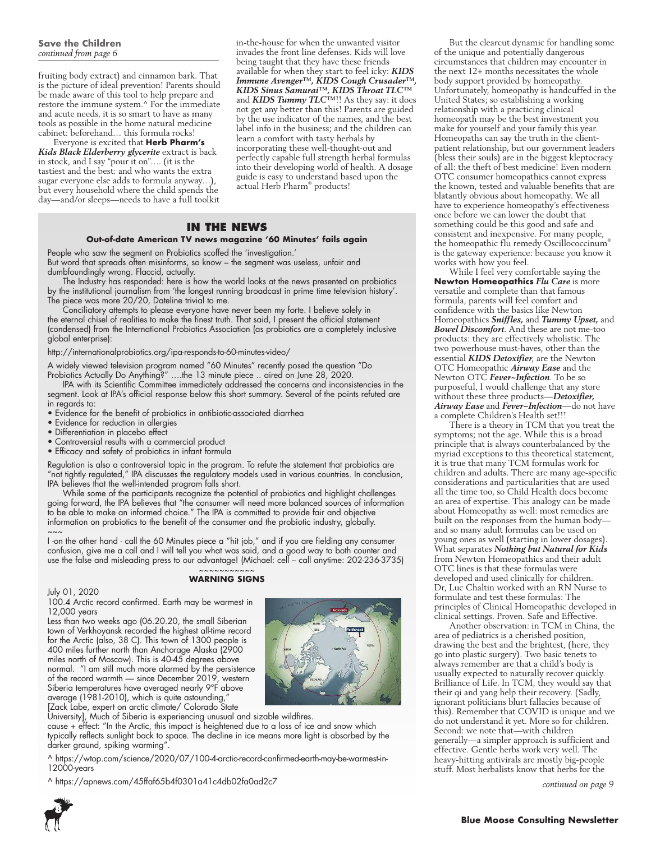fruiting body extract) and cinnamon bark. That is the picture of ideal prevention! Parents should be made aware of this tool to help prepare and restore the immune system.^ For the immediate and acute needs, it is so smart to have as many tools as possible in the home natural medicine cabinet: beforehand… this formula rocks!

Everyone is excited that **Herb Pharm's** *Kids Black Elderberry glycerite* extract is back in stock, and I say "pour it on"…. (it is the tastiest and the best: and who wants the extra sugar everyone else adds to formula anyway…), but every household where the child spends the day—and/or sleeps—needs to have a full toolkit in-the-house for when the unwanted visitor invades the front line defenses. Kids will love being taught that they have these friends available for when they start to feel icky: *KIDS Immune Avenger™, KIDS Cough Crusader™, KIDS Sinus Samurai™, KIDS Throat TLC™*  and *KIDS Tummy TLC™*!! As they say: it does not get any better than this! Parents are guided by the use indicator of the names, and the best label info in the business; and the children can learn a comfort with tasty herbals by incorporating these well-thought-out and perfectly capable full strength herbal formulas into their developing world of health. A dosage guide is easy to understand based upon the actual Herb Pharm® products!

#### **IN THE NEWS**

#### **Out-of-date American TV news magazine '60 Minutes' fails again**

People who saw the segment on Probiotics scoffed the 'investigation.' But word that spreads often misinforms, so know – the segment was useless, unfair and dumbfoundingly wrong. Flaccid, actually.

The Industry has responded: here is how the world looks at the news presented on probiotics by the institutional journalism from 'the longest running broadcast in prime time television history'. The piece was more 20/20, Dateline trivial to me.

Conciliatory attempts to please everyone have never been my forte. I believe solely in the eternal chisel of realities to make the finest truth. That said, I present the official statement (condensed) from the International Probiotics Association (as probiotics are a completely inclusive global enterprise):

#### http://internationalprobiotics.org/ipa-responds-to-60-minutes-video/

A widely viewed television program named "60 Minutes" recently posed the question "Do Probiotics Actually Do Anything?" ….the 13 minute piece .. aired on June 28, 2020.

IPA with its Scientific Committee immediately addressed the concerns and inconsistencies in the segment. Look at IPA's official response below this short summary. Several of the points refuted are in regards to:

- Evidence for the benefit of probiotics in antibiotic-associated diarrhea
- Evidence for reduction in allergies
- Differentiation in placebo effect
- Controversial results with a commercial product
- Efficacy and safety of probiotics in infant formula

Regulation is also a controversial topic in the program. To refute the statement that probiotics are "not tightly regulated," IPA discusses the regulatory models used in various countries. In conclusion, IPA believes that the well-intended program falls short.

While some of the participants recognize the potential of probiotics and highlight challenges going forward, the IPA believes that "the consumer will need more balanced sources of information to be able to make an informed choice." The IPA is committed to provide fair and objective information on probiotics to the benefit of the consumer and the probiotic industry, globally.  $\sim\sim\sim$ 

I -on the other hand - call the 60 Minutes piece a "hit job," and if you are fielding any consumer confusion, give me a call and I will tell you what was said, and a good way to both counter and use the false and misleading press to our advantage! (Michael: cell – call anytime: 202-236-3735)

#### ~~~~~~~~~~~ **WARNING SIGNS**

July 01, 2020

100.4 Arctic record confirmed. Earth may be warmest in 12,000 years

Less than two weeks ago (06.20.20, the small Siberian town of Verkhoyansk recorded the highest all-time record for the Arctic (also, 38 C). This town of 1300 people is 400 miles further north than Anchorage Alaska (2900 miles north of Moscow). This is 40-45 degrees above normal. "I am still much more alarmed by the persistence of the record warmth — since December 2019, western Siberia temperatures have averaged nearly 9°F above average (1981-2010), which is quite astounding," [Zack Labe, expert on arctic climate/ Colorado State



University], Much of Siberia is experiencing unusual and sizable wildfires.

cause + effect: "In the Arctic, this impact is heightened due to a loss of ice and snow which typically reflects sunlight back to space. The decline in ice means more light is absorbed by the darker ground, spiking warming".

^ https://wtop.com/science/2020/07/100-4-arctic-record-confirmed-earth-may-be-warmest-in-12000-years

^ https://apnews.com/45ffaf65b4f0301a41c4db02fa0ad2c7

But the clearcut dynamic for handling some of the unique and potentially dangerous circumstances that children may encounter in the next 12+ months necessitates the whole body support provided by homeopathy. Unfortunately, homeopathy is handcuffed in the United States; so establishing a working relationship with a practicing clinical homeopath may be the best investment you make for yourself and your family this year. Homeopaths can say the truth in the clientpatient relationship, but our government leaders (bless their souls) are in the biggest kleptocracy of all: the theft of best medicine! Even modern OTC consumer homeopathics cannot express the known, tested and valuable benefits that are blatantly obvious about homeopathy. We all have to experience homeopathy's effectiveness once before we can lower the doubt that something could be this good and safe and consistent and inexpensive. For many people, the homeopathic flu remedy Oscillococcinum® is the gateway experience: because you know it works with how you feel.

While I feel very comfortable saying the **Newton Homeopathics** *Flu Care* is more versatile and complete than that famous formula, parents will feel comfort and confidence with the basics like Newton Homeopathics *Sniffles,* and *Tummy Upset,* and *Bowel Discomfort*. And these are not me-too products: they are effectively wholistic. The two powerhouse must-haves, other than the essential *KIDS Detoxifier*, are the Newton OTC Homeopathic *Airway Ease* and the Newton OTC *Fever~Infection*. To be so purposeful, I would challenge that any store without these three products—*Detoxifier, Airway Ease* and *Fever~Infection*—do not have a complete Children's Health set!!!

There is a theory in TCM that you treat the symptoms; not the age. While this is a broad principle that is always counterbalanced by the myriad exceptions to this theoretical statement, it is true that many TCM formulas work for children and adults. There are many age-specific considerations and particularities that are used all the time too, so Child Health does become an area of expertise. This analogy can be made about Homeopathy as well: most remedies are built on the responses from the human body and so many adult formulas can be used on young ones as well (starting in lower dosages). What separates *Nothing but Natural for Kids*  from Newton Homeopathics and their adult OTC lines is that these formulas were developed and used clinically for children. Dr. Luc Chaltin worked with an RN Nurse to formulate and test these formulas: The principles of Clinical Homeopathic developed in clinical settings. Proven. Safe and Effective.

Another observation: in TCM in China, the area of pediatrics is a cherished position, drawing the best and the brightest, (here, they go into plastic surgery). Two basic tenets to always remember are that a child's body is usually expected to naturally recover quickly. Brilliance of Life. In TCM, they would say that their qi and yang help their recovery. (Sadly, ignorant politicians blurt fallacies because of this). Remember that COVID is unique and we do not understand it yet. More so for children. Second: we note that—with children generally—a simpler approach is sufficient and effective. Gentle herbs work very well. The heavy-hitting antivirals are mostly big-people stuff. Most herbalists know that herbs for the

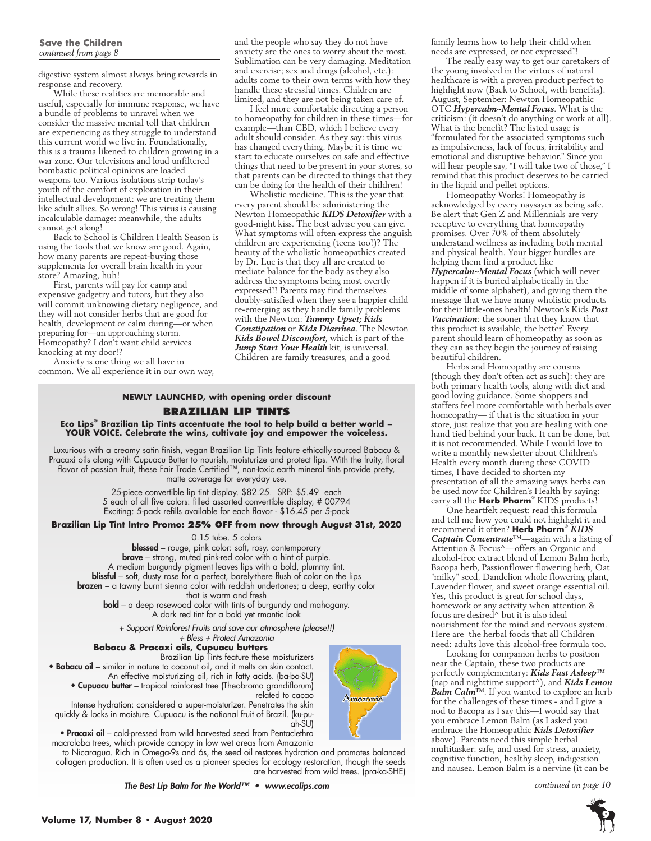digestive system almost always bring rewards in response and recovery.

While these realities are memorable and useful, especially for immune response, we have a bundle of problems to unravel when we consider the massive mental toll that children are experiencing as they struggle to understand this current world we live in. Foundationally, this is a trauma likened to children growing in a war zone. Our televisions and loud unfiltered bombastic political opinions are loaded weapons too. Various isolations strip today's youth of the comfort of exploration in their intellectual development: we are treating them like adult allies. So wrong! This virus is causing incalculable damage: meanwhile, the adults cannot get along!

Back to School is Children Health Season is using the tools that we know are good. Again, how many parents are repeat-buying those supplements for overall brain health in your store? Amazing, huh!

First, parents will pay for camp and expensive gadgetry and tutors, but they also will commit unknowing dietary negligence, and they will not consider herbs that are good for health, development or calm during—or when preparing for—an approaching storm. Homeopathy? I don't want child services knocking at my door!?

Anxiety is one thing we all have in common. We all experience it in our own way, and the people who say they do not have anxiety are the ones to worry about the most. Sublimation can be very damaging. Meditation and exercise; sex and drugs (alcohol, etc.): adults come to their own terms with how they handle these stressful times. Children are limited, and they are not being taken care of.

I feel more comfortable directing a person to homeopathy for children in these times—for example—than CBD, which I believe every adult should consider. As they say: this virus has changed everything. Maybe it is time we start to educate ourselves on safe and effective things that need to be present in your stores, so that parents can be directed to things that they can be doing for the health of their children!

Wholistic medicine. This is the year that every parent should be administering the Newton Homeopathic *KIDS Detoxifier* with a good-night kiss. The best advise you can give. What symptoms will often express the anguish children are experiencing (teens too!)? The beauty of the wholistic homeopathics created by Dr. Luc is that they all are created to mediate balance for the body as they also address the symptoms being most overtly expressed!! Parents may find themselves doubly-satisfied when they see a happier child re-emerging as they handle family problems with the Newton: *Tummy Upset; Kids Constipation* or *Kids Diarrhea*. The Newton *Kids Bowel Discomfort*, which is part of the *Jump Start Your Health* kit, is universal. Children are family treasures, and a good

Amazonia

#### **NEWLY LAUNCHED, with opening order discount BRAZILIAN LIP TINTS**

**Eco Lips® Brazilian Lip Tints accentuate the tool to help build a better world – YOUR VOICE. Celebrate the wins, cultivate joy and empower the voiceless.**

Luxurious with a creamy satin finish, vegan Brazilian Lip Tints feature ethically-sourced Babacu & Pracaxi oils along with Cupuacu Butter to nourish, moisturize and protect lips. With the fruity, floral flavor of passion fruit, these Fair Trade Certified™, non-toxic earth mineral tints provide pretty, matte coverage for everyday use.

> 25-piece convertible lip tint display. \$82.25. SRP: \$5.49 each 5 each of all five colors: filled assorted convertible display, # 00794 Exciting: 5-pack refills available for each flavor - \$16.45 per 5-pack

#### **Brazilian Lip Tint Intro Promo: 25% OFF from now through August 31st, 2020**

0.15 tube. 5 colors

blessed - rouge, pink color: soft, rosy, contemporary brave – strong, muted pink-red color with a hint of purple. A medium burgundy pigment leaves lips with a bold, plummy tint. blissful – soft, dusty rose for a perfect, barely-there flush of color on the lips brazen – a tawny burnt sienna color with reddish undertones; a deep, earthy color

that is warm and fresh  $bold - a$  deep rosewood color with tints of burgundy and mahogany. A dark red tint for a bold yet rmantic look

*+ Support Rainforest Fruits and save our atmosphere (please!!)*

*+ Bless + Protect Amazonia*

#### **Babacu & Pracaxi oils, Cupuacu butters**

Brazilian Lip Tints feature these moisturizers • Babacu oil – similar in nature to coconut oil, and it melts on skin contact. An effective moisturizing oil, rich in fatty acids. (ba-ba-SU) • Cupuacu butter – tropical rainforest tree (Theobroma grandiflorum)

related to cacao Intense hydration: considered a super-moisturizer. Penetrates the skin

quickly & locks in moisture. Cupuacu is the national fruit of Brazil. (ku-puah-SU)

• Pracaxi oil – cold-pressed from wild harvested seed from Pentaclethra macroloba trees, which provide canopy in low wet areas from Amazonia

to Nicaragua. Rich in Omega-9s and 6s, the seed oil restores hydration and promotes balanced collagen production. It is often used as a pioneer species for ecology restoration, though the seeds are harvested from wild trees. (pra-ka-SHE)

*The Best Lip Balm for the World™ • www.ecolips.com*

family learns how to help their child when needs are expressed, or not expressed!!

The really easy way to get our caretakers of the young involved in the virtues of natural healthcare is with a proven product perfect to highlight now (Back to School, with benefits). August, September: Newton Homeopathic OTC *Hypercalm~Mental Focus*. What is the criticism: (it doesn't do anything or work at all). What is the benefit? The listed usage is "formulated for the associated symptoms such as impulsiveness, lack of focus, irritability and emotional and disruptive behavior." Since you will hear people say, "I will take two of those," I remind that this product deserves to be carried in the liquid and pellet options.

Homeopathy Works! Homeopathy is acknowledged by every naysayer as being safe. Be alert that Gen Z and Millennials are very receptive to everything that homeopathy promises. Over 70% of them absolutely understand wellness as including both mental and physical health. Your bigger hurdles are helping them find a product like

*Hypercalm~Mental Focus* (which will never happen if it is buried alphabetically in the middle of some alphabet), and giving them the message that we have many wholistic products for their little-ones health! Newton's Kids *Post Vaccination*: the sooner that they know that this product is available, the better! Every parent should learn of homeopathy as soon as they can as they begin the journey of raising beautiful children.

Herbs and Homeopathy are cousins (though they don't often act as such): they are both primary health tools, along with diet and good loving guidance. Some shoppers and staffers feel more comfortable with herbals over homeopathy— if that is the situation in your store, just realize that you are healing with one hand tied behind your back. It can be done, but it is not recommended. While I would love to write a monthly newsletter about Children's Health every month during these COVID times, I have decided to shorten my presentation of all the amazing ways herbs can be used now for Children's Health by saying: carry all the **Herb Pharm**® KIDS products!

One heartfelt request: read this formula and tell me how you could not highlight it and recommend it often? **Herb Pharm**® *KIDS Captain Concentrate*™—again with a listing of Attention & Focus^—offers an Organic and alcohol-free extract blend of Lemon Balm herb, Bacopa herb, Passionflower flowering herb, Oat "milky" seed, Dandelion whole flowering plant, Lavender flower, and sweet orange essential oil. Yes, this product is great for school days, homework or any activity when attention & focus are desired^ but it is also ideal nourishment for the mind and nervous system. Here are the herbal foods that all Children need: adults love this alcohol-free formula too.

Looking for companion herbs to position near the Captain, these two products are perfectly complementary: *Kids Fast Asleep™* (nap and nighttime support^), and *Kids Lemon Balm Calm™*. If you wanted to explore an herb for the challenges of these times - and I give a nod to Bacopa as I say this—I would say that you embrace Lemon Balm (as I asked you embrace the Homeopathic *Kids Detoxifier* above). Parents need this simple herbal multitasker: safe, and used for stress, anxiety, cognitive function, healthy sleep, indigestion and nausea. Lemon Balm is a nervine (it can be